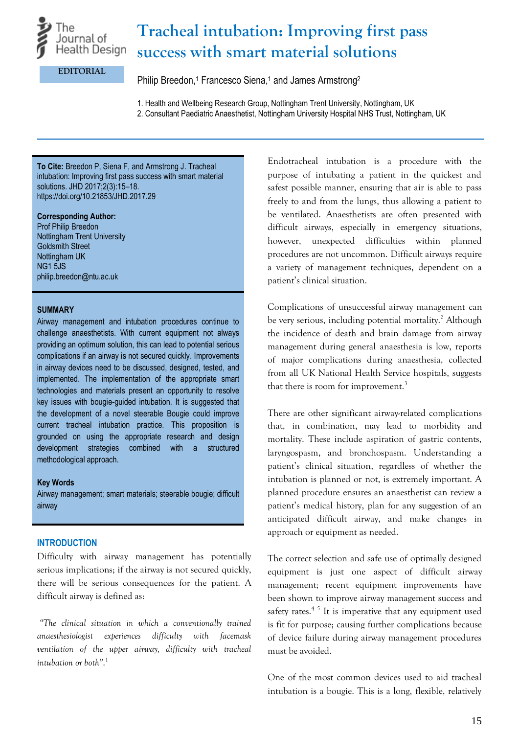

# **Tracheal intubation: Improving first pass success with smart material solutions**

**EDITORIAL**

Philip Breedon,<sup>1</sup> Francesco Siena,<sup>1</sup> and James Armstrong<sup>2</sup>

1. Health and Wellbeing Research Group, Nottingham Trent University, Nottingham, UK

2. Consultant Paediatric Anaesthetist, Nottingham University Hospital NHS Trust, Nottingham, UK

**To Cite:** Breedon P, Siena F, and Armstrong J. Tracheal intubation: Improving first pass success with smart material solutions. JHD 2017;2(3):15–18. https://doi.org/10.21853/JHD.2017.29

#### **Corresponding Author:**

Prof Philip Breedon Nottingham Trent University Goldsmith Street Nottingham UK NG1 5JS philip.breedon@ntu.ac.uk

#### **SUMMARY**

Airway management and intubation procedures continue to challenge anaesthetists. With current equipment not always providing an optimum solution, this can lead to potential serious complications if an airway is not secured quickly. Improvements in airway devices need to be discussed, designed, tested, and implemented. The implementation of the appropriate smart technologies and materials present an opportunity to resolve key issues with bougie-guided intubation. It is suggested that the development of a novel steerable Bougie could improve current tracheal intubation practice. This proposition is grounded on using the appropriate research and design development strategies combined with a structured methodological approach.

#### **Key Words**

Airway management; smart materials; steerable bougie; difficult airway

## **INTRODUCTION**

Difficulty with airway management has potentially serious implications; if the airway is not secured quickly, there will be serious consequences for the patient. A difficult airway is defined as:

*"The clinical situation in which a conventionally trained anaesthesiologist experiences difficulty with facemask ventilation of the upper airway, difficulty with tracheal intubation or both"*. 1

Endotracheal intubation is a procedure with the purpose of intubating a patient in the quickest and safest possible manner, ensuring that air is able to pass freely to and from the lungs, thus allowing a patient to be ventilated. Anaesthetists are often presented with difficult airways, especially in emergency situations, however, unexpected difficulties within planned procedures are not uncommon. Difficult airways require a variety of management techniques, dependent on a patient's clinical situation.

Complications of unsuccessful airway management can be very serious, including potential mortality. <sup>2</sup> Although the incidence of death and brain damage from airway management during general anaesthesia is low, reports of major complications during anaesthesia, collected from all UK National Health Service hospitals, suggests that there is room for improvement.<sup>3</sup>

There are other significant airway-related complications that, in combination, may lead to morbidity and mortality. These include aspiration of gastric contents, laryngospasm, and bronchospasm. Understanding a patient's clinical situation, regardless of whether the intubation is planned or not, is extremely important. A planned procedure ensures an anaesthetist can review a patient's medical history, plan for any suggestion of an anticipated difficult airway, and make changes in approach or equipment as needed.

The correct selection and safe use of optimally designed equipment is just one aspect of difficult airway management; recent equipment improvements have been shown to improve airway management success and safety rates.<sup>4-5</sup> It is imperative that any equipment used is fit for purpose; causing further complications because of device failure during airway management procedures must be avoided.

One of the most common devices used to aid tracheal intubation is a bougie. This is a long, flexible, relatively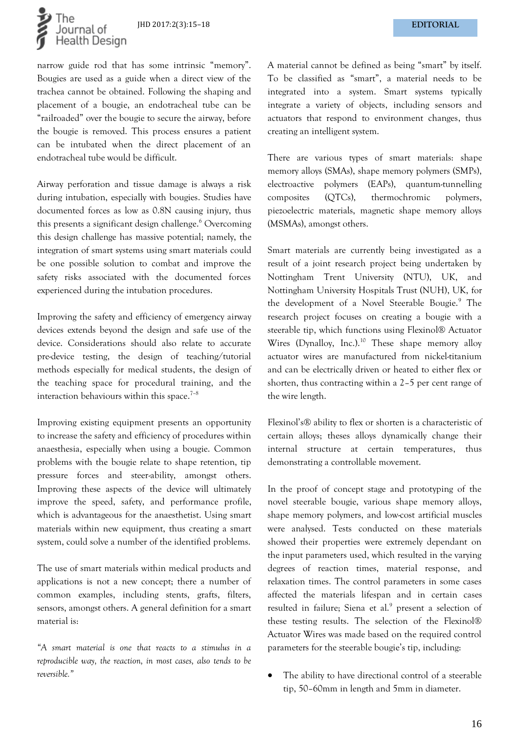

narrow guide rod that has some intrinsic "memory". Bougies are used as a guide when a direct view of the trachea cannot be obtained. Following the shaping and placement of a bougie, an endotracheal tube can be "railroaded" over the bougie to secure the airway, before the bougie is removed. This process ensures a patient can be intubated when the direct placement of an endotracheal tube would be difficult.

Airway perforation and tissue damage is always a risk during intubation, especially with bougies. Studies have documented forces as low as 0.8N causing injury, thus this presents a significant design challenge. <sup>6</sup> Overcoming this design challenge has massive potential; namely, the integration of smart systems using smart materials could be one possible solution to combat and improve the safety risks associated with the documented forces experienced during the intubation procedures.

Improving the safety and efficiency of emergency airway devices extends beyond the design and safe use of the device. Considerations should also relate to accurate pre-device testing, the design of teaching/tutorial methods especially for medical students, the design of the teaching space for procedural training, and the interaction behaviours within this space.<sup>7-8</sup>

Improving existing equipment presents an opportunity to increase the safety and efficiency of procedures within anaesthesia, especially when using a bougie. Common problems with the bougie relate to shape retention, tip pressure forces and steer-ability, amongst others. Improving these aspects of the device will ultimately improve the speed, safety, and performance profile, which is advantageous for the anaesthetist. Using smart materials within new equipment, thus creating a smart system, could solve a number of the identified problems.

The use of smart materials within medical products and applications is not a new concept; there a number of common examples, including stents, grafts, filters, sensors, amongst others. A general definition for a smart material is:

*"A smart material is one that reacts to a stimulus in a reproducible way, the reaction, in most cases, also tends to be reversible."*

A material cannot be defined as being "smart" by itself. To be classified as "smart", a material needs to be integrated into a system. Smart systems typically integrate a variety of objects, including sensors and actuators that respond to environment changes, thus creating an intelligent system.

There are various types of smart materials: shape memory alloys (SMAs), shape memory polymers (SMPs), electroactive polymers (EAPs), quantum-tunnelling composites (QTCs), thermochromic polymers, piezoelectric materials, magnetic shape memory alloys (MSMAs), amongst others.

Smart materials are currently being investigated as a result of a joint research project being undertaken by Nottingham Trent University (NTU), UK, and Nottingham University Hospitals Trust (NUH), UK, for the development of a Novel Steerable Bougie.<sup>9</sup> The research project focuses on creating a bougie with a steerable tip, which functions using Flexinol® Actuator Wires (Dynalloy, Inc.).<sup>10</sup> These shape memory alloy actuator wires are manufactured from nickel-titanium and can be electrically driven or heated to either flex or shorten, thus contracting within a 2–5 per cent range of the wire length.

Flexinol's® ability to flex or shorten is a characteristic of certain alloys; theses alloys dynamically change their internal structure at certain temperatures, thus demonstrating a controllable movement.

In the proof of concept stage and prototyping of the novel steerable bougie, various shape memory alloys, shape memory polymers, and low-cost artificial muscles were analysed. Tests conducted on these materials showed their properties were extremely dependant on the input parameters used, which resulted in the varying degrees of reaction times, material response, and relaxation times. The control parameters in some cases affected the materials lifespan and in certain cases resulted in failure; Siena et al.<sup>9</sup> present a selection of these testing results. The selection of the Flexinol® Actuator Wires was made based on the required control parameters for the steerable bougie's tip, including:

The ability to have directional control of a steerable tip, 50–60mm in length and 5mm in diameter.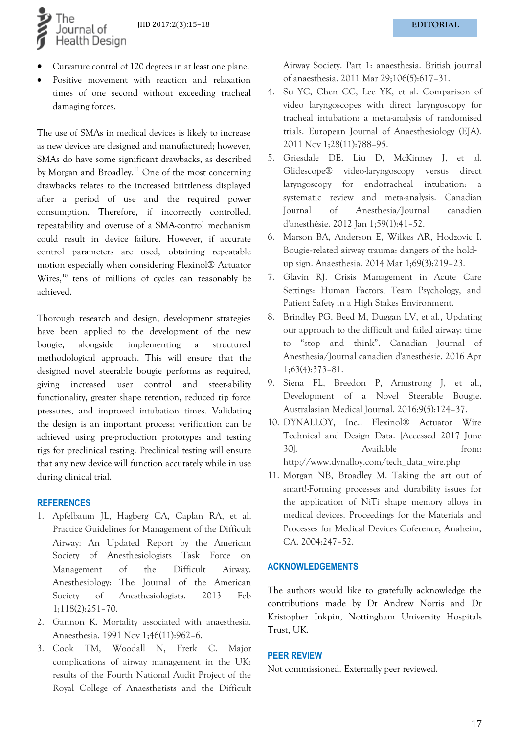JHD 2017:2(3):15–18 **EDITORIAL**

• Curvature control of 120 degrees in at least one plane.

l he

ournal of **Health Design** 

Positive movement with reaction and relaxation times of one second without exceeding tracheal damaging forces.

The use of SMAs in medical devices is likely to increase as new devices are designed and manufactured; however, SMAs do have some significant drawbacks, as described by Morgan and Broadley. <sup>11</sup> One of the most concerning drawbacks relates to the increased brittleness displayed after a period of use and the required power consumption. Therefore, if incorrectly controlled, repeatability and overuse of a SMA-control mechanism could result in device failure. However, if accurate control parameters are used, obtaining repeatable motion especially when considering Flexinol® Actuator Wires,<sup>10</sup> tens of millions of cycles can reasonably be achieved.

Thorough research and design, development strategies have been applied to the development of the new bougie, alongside implementing a structured methodological approach. This will ensure that the designed novel steerable bougie performs as required, giving increased user control and steer-ability functionality, greater shape retention, reduced tip force pressures, and improved intubation times. Validating the design is an important process; verification can be achieved using pre-production prototypes and testing rigs for preclinical testing. Preclinical testing will ensure that any new device will function accurately while in use during clinical trial.

#### **REFERENCES**

- 1. Apfelbaum JL, Hagberg CA, Caplan RA, et al. Practice Guidelines for Management of the Difficult Airway: An Updated Report by the American Society of Anesthesiologists Task Force on Management of the Difficult Airway. Anesthesiology: The Journal of the American Society of Anesthesiologists. 2013 Feb 1;118(2):251–70.
- 2. Gannon K. Mortality associated with anaesthesia. Anaesthesia. 1991 Nov 1;46(11):962–6.
- 3. Cook TM, Woodall N, Frerk C. Major complications of airway management in the UK: results of the Fourth National Audit Project of the Royal College of Anaesthetists and the Difficult

Airway Society. Part 1: anaesthesia. British journal of anaesthesia. 2011 Mar 29;106(5):617–31.

- 4. Su YC, Chen CC, Lee YK, et al. Comparison of video laryngoscopes with direct laryngoscopy for tracheal intubation: a meta-analysis of randomised trials. European Journal of Anaesthesiology (EJA). 2011 Nov 1;28(11):788–95.
- 5. Griesdale DE, Liu D, McKinney J, et al. Glidescope® video-laryngoscopy versus direct laryngoscopy for endotracheal intubation: a systematic review and meta-analysis. Canadian Journal of Anesthesia/Journal canadien d'anesthésie. 2012 Jan 1;59(1):41–52.
- 6. Marson BA, Anderson E, Wilkes AR, Hodzovic I. Bougie-related airway trauma: dangers of the hold‐ up sign. Anaesthesia. 2014 Mar 1;69(3):219–23.
- 7. Glavin RJ. Crisis Management in Acute Care Settings: Human Factors, Team Psychology, and Patient Safety in a High Stakes Environment.
- 8. Brindley PG, Beed M, Duggan LV, et al., Updating our approach to the difficult and failed airway: time to "stop and think". Canadian Journal of Anesthesia/Journal canadien d'anesthésie. 2016 Apr 1;63(4):373–81.
- 9. Siena FL, Breedon P, Armstrong J, et al., Development of a Novel Steerable Bougie. Australasian Medical Journal. 2016;9(5):124–37.
- 10. DYNALLOY, Inc.. Flexinol® Actuator Wire Technical and Design Data. [Accessed 2017 June 30]. Available from: http://www.dynalloy.com/tech\_data\_wire.php
- 11. Morgan NB, Broadley M. Taking the art out of smart!-Forming processes and durability issues for the application of NiTi shape memory alloys in medical devices. Proceedings for the Materials and Processes for Medical Devices Coference, Anaheim, CA. 2004:247–52.

#### **ACKNOWLEDGEMENTS**

The authors would like to gratefully acknowledge the contributions made by Dr Andrew Norris and Dr Kristopher Inkpin, Nottingham University Hospitals Trust, UK.

#### **PEER REVIEW**

Not commissioned. Externally peer reviewed.